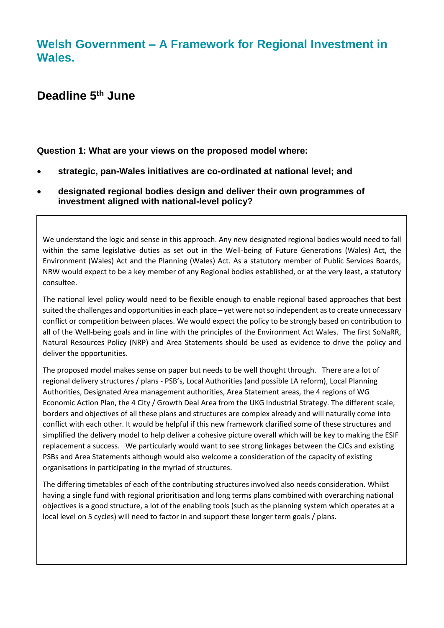## **Welsh Government – A Framework for Regional Investment in Wales.**

# **Deadline 5 th June**

**Question 1: What are your views on the proposed model where:** 

- **strategic, pan-Wales initiatives are co-ordinated at national level; and**
- **designated regional bodies design and deliver their own programmes of investment aligned with national-level policy?**

We understand the logic and sense in this approach. Any new designated regional bodies would need to fall within the same legislative duties as set out in the Well-being of Future Generations (Wales) Act, the Environment (Wales) Act and the Planning (Wales) Act. As a statutory member of Public Services Boards, NRW would expect to be a key member of any Regional bodies established, or at the very least, a statutory consultee.

The national level policy would need to be flexible enough to enable regional based approaches that best suited the challenges and opportunities in each place – yet were not so independent as to create unnecessary conflict or competition between places. We would expect the policy to be strongly based on contribution to all of the Well-being goals and in line with the principles of the Environment Act Wales. The first SoNaRR, Natural Resources Policy (NRP) and Area Statements should be used as evidence to drive the policy and deliver the opportunities.

The proposed model makes sense on paper but needs to be well thought through. There are a lot of regional delivery structures / plans - PSB's, Local Authorities (and possible LA reform), Local Planning Authorities, Designated Area management authorities, Area Statement areas, the 4 regions of WG Economic Action Plan, the 4 City / Growth Deal Area from the UKG Industrial Strategy. The different scale, borders and objectives of all these plans and structures are complex already and will naturally come into conflict with each other. It would be helpful if this new framework clarified some of these structures and simplified the delivery model to help deliver a cohesive picture overall which will be key to making the ESIF replacement a success. We particularly would want to see strong linkages between the CJCs and existing PSBs and Area Statements although would also welcome a consideration of the capacity of existing organisations in participating in the myriad of structures.

The differing timetables of each of the contributing structures involved also needs consideration. Whilst having a single fund with regional prioritisation and long terms plans combined with overarching national objectives is a good structure, a lot of the enabling tools (such as the planning system which operates at a local level on 5 cycles) will need to factor in and support these longer term goals / plans.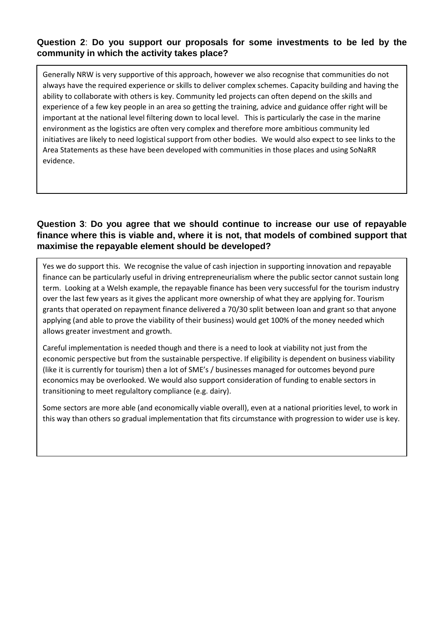#### **Question 2**: **Do you support our proposals for some investments to be led by the community in which the activity takes place?**

Generally NRW is very supportive of this approach, however we also recognise that communities do not always have the required experience or skills to deliver complex schemes. Capacity building and having the ability to collaborate with others is key. Community led projects can often depend on the skills and experience of a few key people in an area so getting the training, advice and guidance offer right will be important at the national level filtering down to local level. This is particularly the case in the marine environment as the logistics are often very complex and therefore more ambitious community led initiatives are likely to need logistical support from other bodies. We would also expect to see links to the Area Statements as these have been developed with communities in those places and using SoNaRR evidence.

#### **Question 3**: **Do you agree that we should continue to increase our use of repayable finance where this is viable and, where it is not, that models of combined support that maximise the repayable element should be developed?**

Yes we do support this. We recognise the value of cash injection in supporting innovation and repayable finance can be particularly useful in driving entrepreneurialism where the public sector cannot sustain long term. Looking at a Welsh example, the repayable finance has been very successful for the tourism industry over the last few years as it gives the applicant more ownership of what they are applying for. Tourism grants that operated on repayment finance delivered a 70/30 split between loan and grant so that anyone applying (and able to prove the viability of their business) would get 100% of the money needed which allows greater investment and growth.

Careful implementation is needed though and there is a need to look at viability not just from the economic perspective but from the sustainable perspective. If eligibility is dependent on business viability (like it is currently for tourism) then a lot of SME's / businesses managed for outcomes beyond pure economics may be overlooked. We would also support consideration of funding to enable sectors in transitioning to meet regulaltory compliance (e.g. dairy).

Some sectors are more able (and economically viable overall), even at a national priorities level, to work in this way than others so gradual implementation that fits circumstance with progression to wider use is key.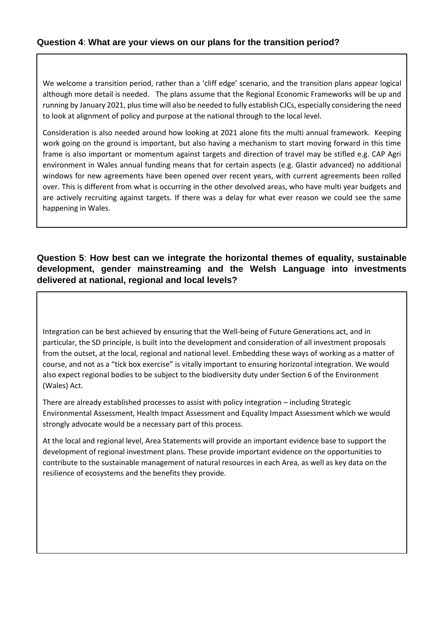#### **Question 4**: **What are your views on our plans for the transition period?**

We welcome a transition period, rather than a 'cliff edge' scenario, and the transition plans appear logical although more detail is needed. The plans assume that the Regional Economic Frameworks will be up and running by January 2021, plus time will also be needed to fully establish CJCs, especially considering the need to look at alignment of policy and purpose at the national through to the local level.

Consideration is also needed around how looking at 2021 alone fits the multi annual framework. Keeping work going on the ground is important, but also having a mechanism to start moving forward in this time frame is also important or momentum against targets and direction of travel may be stifled e.g. CAP Agri environment in Wales annual funding means that for certain aspects (e.g. Glastir advanced) no additional windows for new agreements have been opened over recent years, with current agreements been rolled over. This is different from what is occurring in the other devolved areas, who have multi year budgets and are actively recruiting against targets. If there was a delay for what ever reason we could see the same happening in Wales.

#### **Question 5**: **How best can we integrate the horizontal themes of equality, sustainable development, gender mainstreaming and the Welsh Language into investments delivered at national, regional and local levels?**

Integration can be best achieved by ensuring that the Well-being of Future Generations act, and in particular, the SD principle, is built into the development and consideration of all investment proposals from the outset, at the local, regional and national level. Embedding these ways of working as a matter of course, and not as a "tick box exercise" is vitally important to ensuring horizontal integration. We would also expect regional bodies to be subject to the biodiversity duty under Section 6 of the Environment (Wales) Act.

There are already established processes to assist with policy integration – including Strategic Environmental Assessment, Health Impact Assessment and Equality Impact Assessment which we would strongly advocate would be a necessary part of this process.

At the local and regional level, Area Statements will provide an important evidence base to support the development of regional investment plans. These provide important evidence on the opportunities to contribute to the sustainable management of natural resources in each Area, as well as key data on the resilience of ecosystems and the benefits they provide.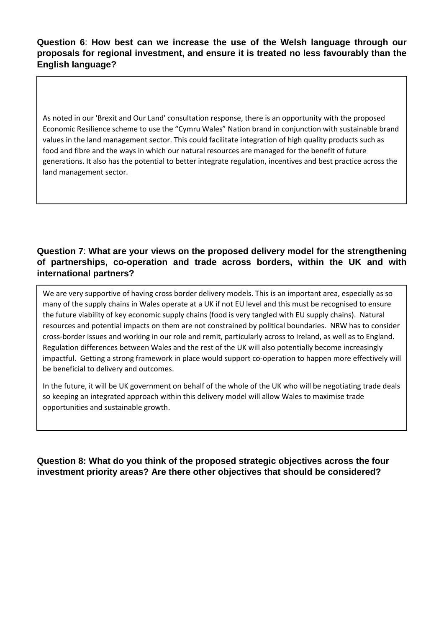**Question 6**: **How best can we increase the use of the Welsh language through our proposals for regional investment, and ensure it is treated no less favourably than the English language?**

As noted in our 'Brexit and Our Land' consultation response, there is an opportunity with the proposed Economic Resilience scheme to use the "Cymru Wales" Nation brand in conjunction with sustainable brand values in the land management sector. This could facilitate integration of high quality products such as food and fibre and the ways in which our natural resources are managed for the benefit of future generations. It also has the potential to better integrate regulation, incentives and best practice across the land management sector.

## **Question 7**: **What are your views on the proposed delivery model for the strengthening of partnerships, co-operation and trade across borders, within the UK and with international partners?**

We are very supportive of having cross border delivery models. This is an important area, especially as so many of the supply chains in Wales operate at a UK if not EU level and this must be recognised to ensure the future viability of key economic supply chains (food is very tangled with EU supply chains). Natural resources and potential impacts on them are not constrained by political boundaries. NRW has to consider cross-border issues and working in our role and remit, particularly across to Ireland, as well as to England. Regulation differences between Wales and the rest of the UK will also potentially become increasingly impactful. Getting a strong framework in place would support co-operation to happen more effectively will be beneficial to delivery and outcomes.

In the future, it will be UK government on behalf of the whole of the UK who will be negotiating trade deals so keeping an integrated approach within this delivery model will allow Wales to maximise trade opportunities and sustainable growth.

Question 8: What do you think of the proposed strategic objectives across the four **investment priority areas? Are there other objectives that should be considered?**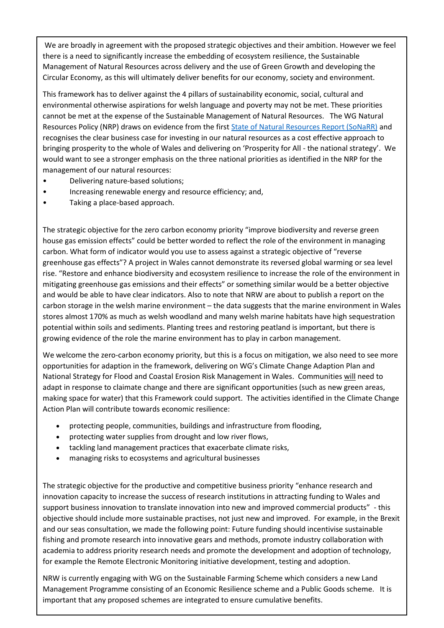We are broadly in agreement with the proposed strategic objectives and their ambition. However we feel there is a need to significantly increase the embedding of ecosystem resilience, the Sustainable Management of Natural Resources across delivery and the use of Green Growth and developing the Circular Economy, as this will ultimately deliver benefits for our economy, society and environment.

This framework has to deliver against the 4 pillars of sustainability economic, social, cultural and environmental otherwise aspirations for welsh language and poverty may not be met. These priorities cannot be met at the expense of the Sustainable Management of Natural Resources. The WG Natural Resources Policy (NRP) draws on evidence from the first [State of Natural Resources Report \(SoNaRR\)](https://cdn.naturalresources.wales/media/682366/sonarr-summary-september-2016-edited-august-2017.pdf) and recognises the clear business case for investing in our natural resources as a cost effective approach to bringing prosperity to the whole of Wales and delivering on 'Prosperity for All - the national strategy'. We would want to see a stronger emphasis on the three national priorities as identified in the NRP for the management of our natural resources:

- Delivering nature-based solutions;
- Increasing renewable energy and resource efficiency; and,
- Taking a place-based approach.

The strategic objective for the zero carbon economy priority "improve biodiversity and reverse green house gas emission effects" could be better worded to reflect the role of the environment in managing carbon. What form of indicator would you use to assess against a strategic objective of "reverse greenhouse gas effects"? A project in Wales cannot demonstrate its reversed global warming or sea level rise. "Restore and enhance biodiversity and ecosystem resilience to increase the role of the environment in mitigating greenhouse gas emissions and their effects" or something similar would be a better objective and would be able to have clear indicators. Also to note that NRW are about to publish a report on the carbon storage in the welsh marine environment – the data suggests that the marine environment in Wales stores almost 170% as much as welsh woodland and many welsh marine habitats have high sequestration potential within soils and sediments. Planting trees and restoring peatland is important, but there is growing evidence of the role the marine environment has to play in carbon management.

We welcome the zero-carbon economy priority, but this is a focus on mitigation, we also need to see more opportunities for adaption in the framework, delivering on WG's Climate Change Adaption Plan and National Strategy for Flood and Coastal Erosion Risk Management in Wales. Communities will need to adapt in response to claimate change and there are significant opportunities (such as new green areas, making space for water) that this Framework could support. The activities identified in the Climate Change Action Plan will contribute towards economic resilience:

- protecting people, communities, buildings and infrastructure from flooding,
- protecting water supplies from drought and low river flows,
- tackling land management practices that exacerbate climate risks,
- managing risks to ecosystems and agricultural businesses

The strategic objective for the productive and competitive business priority "enhance research and innovation capacity to increase the success of research institutions in attracting funding to Wales and support business innovation to translate innovation into new and improved commercial products" - this objective should include more sustainable practises, not just new and improved. For example, in the Brexit and our seas consultation, we made the following point: Future funding should incentivise sustainable fishing and promote research into innovative gears and methods, promote industry collaboration with academia to address priority research needs and promote the development and adoption of technology, for example the Remote Electronic Monitoring initiative development, testing and adoption.

NRW is currently engaging with WG on the Sustainable Farming Scheme which considers a new Land Management Programme consisting of an Economic Resilience scheme and a Public Goods scheme. It is important that any proposed schemes are integrated to ensure cumulative benefits.

The Framework should use the opportunity to incentivise continual transition to more environmentally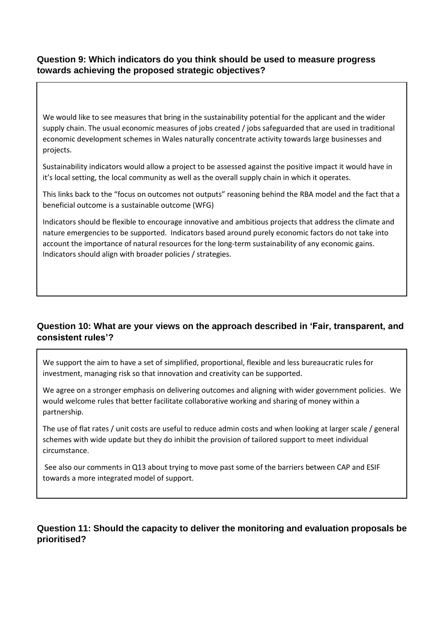#### **Question 9: Which indicators do you think should be used to measure progress towards achieving the proposed strategic objectives?**

We would like to see measures that bring in the sustainability potential for the applicant and the wider supply chain. The usual economic measures of jobs created / jobs safeguarded that are used in traditional economic development schemes in Wales naturally concentrate activity towards large businesses and projects.

Sustainability indicators would allow a project to be assessed against the positive impact it would have in it's local setting, the local community as well as the overall supply chain in which it operates.

This links back to the "focus on outcomes not outputs" reasoning behind the RBA model and the fact that a beneficial outcome is a sustainable outcome (WFG)

Indicators should be flexible to encourage innovative and ambitious projects that address the climate and nature emergencies to be supported. Indicators based around purely economic factors do not take into account the importance of natural resources for the long-term sustainability of any economic gains. Indicators should align with broader policies / strategies.

## **Question 10: What are your views on the approach described in 'Fair, transparent, and consistent rules'?**

We support the aim to have a set of simplified, proportional, flexible and less bureaucratic rules for investment, managing risk so that innovation and creativity can be supported.

We agree on a stronger emphasis on delivering outcomes and aligning with wider government policies. We would welcome rules that better facilitate collaborative working and sharing of money within a partnership.

The use of flat rates / unit costs are useful to reduce admin costs and when looking at larger scale / general schemes with wide update but they do inhibit the provision of tailored support to meet individual circumstance.

See also our comments in Q13 about trying to move past some of the barriers between CAP and ESIF towards a more integrated model of support.

#### **Question 11: Should the capacity to deliver the monitoring and evaluation proposals be prioritised?**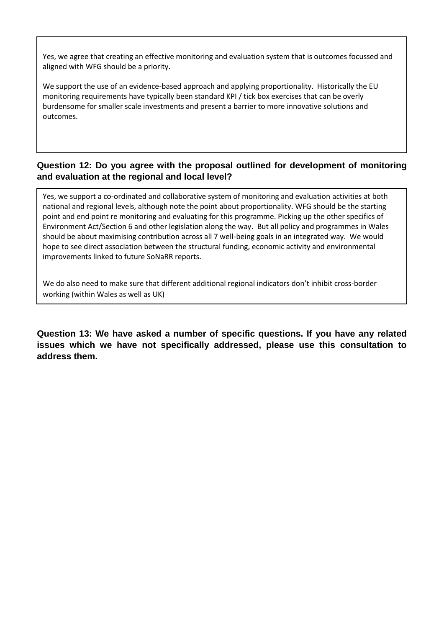Yes, we agree that creating an effective monitoring and evaluation system that is outcomes focussed and aligned with WFG should be a priority.

We support the use of an evidence-based approach and applying proportionality. Historically the EU monitoring requirements have typically been standard KPI / tick box exercises that can be overly burdensome for smaller scale investments and present a barrier to more innovative solutions and outcomes.

#### **Question 12: Do you agree with the proposal outlined for development of monitoring and evaluation at the regional and local level?**

Yes, we support a co-ordinated and collaborative system of monitoring and evaluation activities at both national and regional levels, although note the point about proportionality. WFG should be the starting point and end point re monitoring and evaluating for this programme. Picking up the other specifics of Environment Act/Section 6 and other legislation along the way. But all policy and programmes in Wales should be about maximising contribution across all 7 well-being goals in an integrated way. We would hope to see direct association between the structural funding, economic activity and environmental improvements linked to future SoNaRR reports.

We do also need to make sure that different additional regional indicators don't inhibit cross-border working (within Wales as well as UK)

**Question 13: We have asked a number of specific questions. If you have any related issues which we have not specifically addressed, please use this consultation to address them.**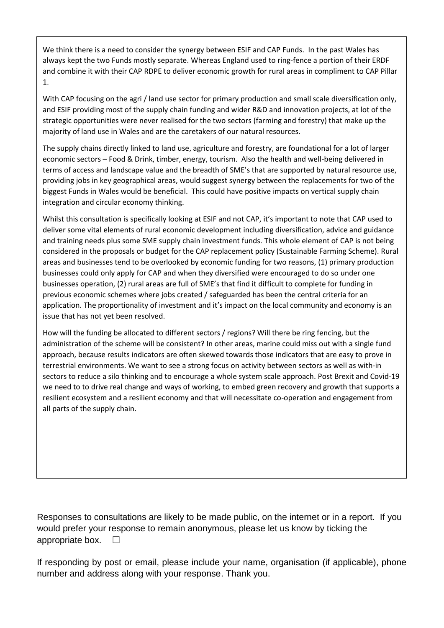We think there is a need to consider the synergy between ESIF and CAP Funds. In the past Wales has always kept the two Funds mostly separate. Whereas England used to ring-fence a portion of their ERDF and combine it with their CAP RDPE to deliver economic growth for rural areas in compliment to CAP Pillar 1.

With CAP focusing on the agri / land use sector for primary production and small scale diversification only, and ESIF providing most of the supply chain funding and wider R&D and innovation projects, at lot of the strategic opportunities were never realised for the two sectors (farming and forestry) that make up the majority of land use in Wales and are the caretakers of our natural resources.

The supply chains directly linked to land use, agriculture and forestry, are foundational for a lot of larger economic sectors – Food & Drink, timber, energy, tourism. Also the health and well-being delivered in terms of access and landscape value and the breadth of SME's that are supported by natural resource use, providing jobs in key geographical areas, would suggest synergy between the replacements for two of the biggest Funds in Wales would be beneficial. This could have positive impacts on vertical supply chain integration and circular economy thinking.

Whilst this consultation is specifically looking at ESIF and not CAP, it's important to note that CAP used to deliver some vital elements of rural economic development including diversification, advice and guidance and training needs plus some SME supply chain investment funds. This whole element of CAP is not being considered in the proposals or budget for the CAP replacement policy (Sustainable Farming Scheme). Rural areas and businesses tend to be overlooked by economic funding for two reasons, (1) primary production businesses could only apply for CAP and when they diversified were encouraged to do so under one businesses operation, (2) rural areas are full of SME's that find it difficult to complete for funding in previous economic schemes where jobs created / safeguarded has been the central criteria for an application. The proportionality of investment and it's impact on the local community and economy is an issue that has not yet been resolved.

How will the funding be allocated to different sectors / regions? Will there be ring fencing, but the administration of the scheme will be consistent? In other areas, marine could miss out with a single fund approach, because results indicators are often skewed towards those indicators that are easy to prove in terrestrial environments. We want to see a strong focus on activity between sectors as well as with-in sectors to reduce a silo thinking and to encourage a whole system scale approach. Post Brexit and Covid-19 we need to to drive real change and ways of working, to embed green recovery and growth that supports a resilient ecosystem and a resilient economy and that will necessitate co-operation and engagement from all parts of the supply chain.

Responses to consultations are likely to be made public, on the internet or in a report. If you would prefer your response to remain anonymous, please let us know by ticking the appropriate box.  $\Box$ 

If responding by post or email, please include your name, organisation (if applicable), phone number and address along with your response. Thank you.